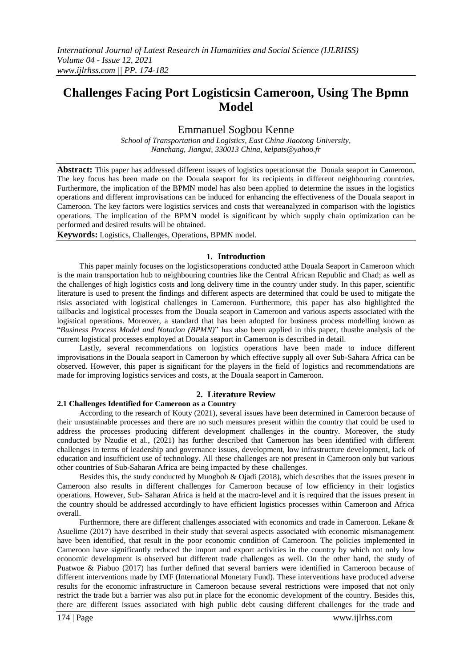# **Challenges Facing Port Logisticsin Cameroon, Using The Bpmn Model**

## Emmanuel Sogbou Kenne

*School of Transportation and Logistics, East China Jiaotong University, Nanchang, Jiangxi, 330013 China, [kelpats@yahoo.fr](mailto:kelpats@yahoo.fr)*

**Abstract:** This paper has addressed different issues of logistics operationsat the Douala seaport in Cameroon. The key focus has been made on the Douala seaport for its recipients in different neighbouring countries. Furthermore, the implication of the BPMN model has also been applied to determine the issues in the logistics operations and different improvisations can be induced for enhancing the effectiveness of the Douala seaport in Cameroon. The key factors were logistics services and costs that wereanalyzed in comparison with the logistics operations. The implication of the BPMN model is significant by which supply chain optimization can be performed and desired results will be obtained.

**Keywords:** Logistics, Challenges, Operations, BPMN model.

#### **1. Introduction**

This paper mainly focuses on the logisticsoperations conducted atthe Douala Seaport in Cameroon which is the main transportation hub to neighbouring countries like the Central African Republic and Chad; as well as the challenges of high logistics costs and long delivery time in the country under study. In this paper, scientific literature is used to present the findings and different aspects are determined that could be used to mitigate the risks associated with logistical challenges in Cameroon. Furthermore, this paper has also highlighted the tailbacks and logistical processes from the Douala seaport in Cameroon and various aspects associated with the logistical operations. Moreover, a standard that has been adopted for business process modelling known as "*Business Process Model and Notation (BPMN)*" has also been applied in this paper, thusthe analysis of the current logistical processes employed at Douala seaport in Cameroon is described in detail.

Lastly, several recommendations on logistics operations have been made to induce different improvisations in the Douala seaport in Cameroon by which effective supply all over Sub-Sahara Africa can be observed. However, this paper is significant for the players in the field of logistics and recommendations are made for improving logistics services and costs, at the Douala seaport in Cameroon.

## **2. Literature Review**

### **2.1 Challenges Identified for Cameroon as a Country**

According to the research of Kouty (2021), several issues have been determined in Cameroon because of their unsustainable processes and there are no such measures present within the country that could be used to address the processes producing different development challenges in the country. Moreover, the study conducted by Nzudie et al., (2021) has further described that Cameroon has been identified with different challenges in terms of leadership and governance issues, development, low infrastructure development, lack of education and insufficient use of technology. All these challenges are not present in Cameroon only but various other countries of Sub-Saharan Africa are being impacted by these challenges.

Besides this, the study conducted by Muogboh & Ojadi (2018), which describes that the issues present in Cameroon also results in different challenges for Cameroon because of low efficiency in their logistics operations. However, Sub- Saharan Africa is held at the macro-level and it is required that the issues present in the country should be addressed accordingly to have efficient logistics processes within Cameroon and Africa overall.

Furthermore, there are different challenges associated with economics and trade in Cameroon. Lekane & Asuelime (2017) have described in their study that several aspects associated with economic mismanagement have been identified, that result in the poor economic condition of Cameroon. The policies implemented in Cameroon have significantly reduced the import and export activities in the country by which not only low economic development is observed but different trade challenges as well. On the other hand, the study of Puatwoe & Piabuo (2017) has further defined that several barriers were identified in Cameroon because of different interventions made by IMF (International Monetary Fund). These interventions have produced adverse results for the economic infrastructure in Cameroon because several restrictions were imposed that not only restrict the trade but a barrier was also put in place for the economic development of the country. Besides this, there are different issues associated with high public debt causing different challenges for the trade and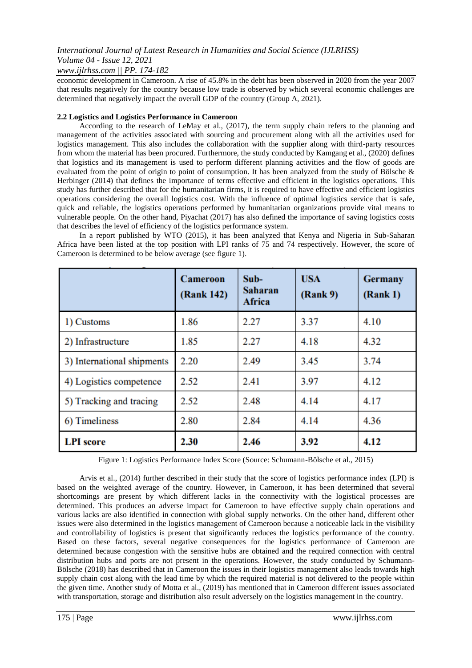## *www.ijlrhss.com || PP. 174-182*

economic development in Cameroon. A rise of 45.8% in the debt has been observed in 2020 from the year 2007 that results negatively for the country because low trade is observed by which several economic challenges are determined that negatively impact the overall GDP of the country (Group A, 2021).

### **2.2 Logistics and Logistics Performance in Cameroon**

According to the research of LeMay et al., (2017), the term supply chain refers to the planning and management of the activities associated with sourcing and procurement along with all the activities used for logistics management. This also includes the collaboration with the supplier along with third-party resources from whom the material has been procured. Furthermore, the study conducted by Kamgang et al., (2020) defines that logistics and its management is used to perform different planning activities and the flow of goods are evaluated from the point of origin to point of consumption. It has been analyzed from the study of Bölsche & Herbinger (2014) that defines the importance of terms effective and efficient in the logistics operations. This study has further described that for the humanitarian firms, it is required to have effective and efficient logistics operations considering the overall logistics cost. With the influence of optimal logistics service that is safe, quick and reliable, the logistics operations performed by humanitarian organizations provide vital means to vulnerable people. On the other hand, Piyachat (2017) has also defined the importance of saving logistics costs that describes the level of efficiency of the logistics performance system.

In a report published by WTO (2015), it has been analyzed that Kenya and Nigeria in Sub-Saharan Africa have been listed at the top position with LPI ranks of 75 and 74 respectively. However, the score of Cameroon is determined to be below average (see figure 1).

|                            | <b>Cameroon</b><br>(Rank 142) | $Sub-$<br><b>Saharan</b><br>Africa | <b>USA</b><br>(Rank 9) | <b>Germany</b><br>(Rank 1) |
|----------------------------|-------------------------------|------------------------------------|------------------------|----------------------------|
| 1) Customs                 | 1.86                          | 2.27                               | 3.37                   | 4.10                       |
| 2) Infrastructure          | 1.85                          | 2.27                               | 4.18                   | 4.32                       |
| 3) International shipments | 2.20                          | 2.49                               | 3.45                   | 3.74                       |
| 4) Logistics competence    | 2.52                          | 2.41                               | 3.97                   | 4.12                       |
| 5) Tracking and tracing    | 2.52                          | 2.48                               | 4.14                   | 4.17                       |
| 6) Timeliness              | 2.80                          | 2.84                               | 4.14                   | 4.36                       |
| <b>LPI</b> score           | 2.30                          | 2.46                               | 3.92                   | 4.12                       |

Figure 1: Logistics Performance Index Score (Source: Schumann-Bölsche et al., 2015)

Arvis et al., (2014) further described in their study that the score of logistics performance index (LPI) is based on the weighted average of the country. However, in Cameroon, it has been determined that several shortcomings are present by which different lacks in the connectivity with the logistical processes are determined. This produces an adverse impact for Cameroon to have effective supply chain operations and various lacks are also identified in connection with global supply networks. On the other hand, different other issues were also determined in the logistics management of Cameroon because a noticeable lack in the visibility and controllability of logistics is present that significantly reduces the logistics performance of the country. Based on these factors, several negative consequences for the logistics performance of Cameroon are determined because congestion with the sensitive hubs are obtained and the required connection with central distribution hubs and ports are not present in the operations. However, the study conducted by Schumann-Bölsche (2018) has described that in Cameroon the issues in their logistics management also leads towards high supply chain cost along with the lead time by which the required material is not delivered to the people within the given time. Another study of Motta et al., (2019) has mentioned that in Cameroon different issues associated with transportation, storage and distribution also result adversely on the logistics management in the country.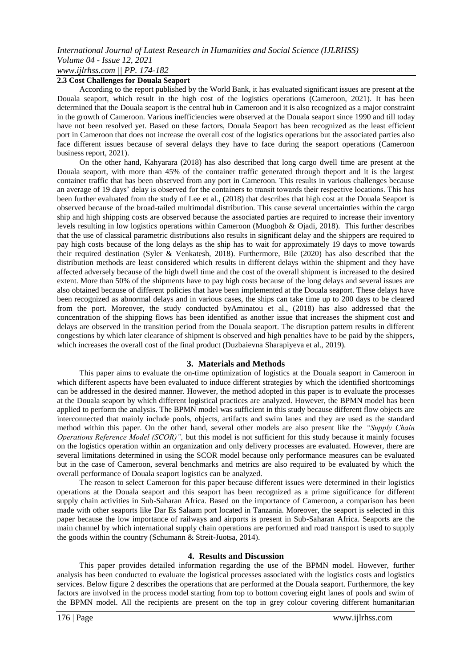### **2.3 Cost Challenges for Douala Seaport**

According to the report published by the World Bank, it has evaluated significant issues are present at the Douala seaport, which result in the high cost of the logistics operations (Cameroon, 2021). It has been determined that the Douala seaport is the central hub in Cameroon and it is also recognized as a major constraint in the growth of Cameroon. Various inefficiencies were observed at the Douala seaport since 1990 and till today have not been resolved yet. Based on these factors, Douala Seaport has been recognized as the least efficient port in Cameroon that does not increase the overall cost of the logistics operations but the associated parties also face different issues because of several delays they have to face during the seaport operations (Cameroon business report, 2021).

On the other hand, Kahyarara (2018) has also described that long cargo dwell time are present at the Douala seaport, with more than 45% of the container traffic generated through theport and it is the largest container traffic that has been observed from any port in Cameroon. This results in various challenges because an average of 19 days' delay is observed for the containers to transit towards their respective locations. This has been further evaluated from the study of Lee et al., (2018) that describes that high cost at the Douala Seaport is observed because of the broad-tailed multimodal distribution. This cause several uncertainties within the cargo ship and high shipping costs are observed because the associated parties are required to increase their inventory levels resulting in low logistics operations within Cameroon (Muogboh & Ojadi, 2018). This further describes that the use of classical parametric distributions also results in significant delay and the shippers are required to pay high costs because of the long delays as the ship has to wait for approximately 19 days to move towards their required destination (Syler & Venkatesh, 2018). Furthermore, Bile (2020) has also described that the distribution methods are least considered which results in different delays within the shipment and they have affected adversely because of the high dwell time and the cost of the overall shipment is increased to the desired extent. More than 50% of the shipments have to pay high costs because of the long delays and several issues are also obtained because of different policies that have been implemented at the Douala seaport. These delays have been recognized as abnormal delays and in various cases, the ships can take time up to 200 days to be cleared from the port. Moreover, the study conducted byAminatou et al., (2018) has also addressed that the concentration of the shipping flows has been identified as another issue that increases the shipment cost and delays are observed in the transition period from the Douala seaport. The disruption pattern results in different congestions by which later clearance of shipment is observed and high penalties have to be paid by the shippers, which increases the overall cost of the final product (Duzbaievna Sharapiyeva et al., 2019).

## **3. Materials and Methods**

This paper aims to evaluate the on-time optimization of logistics at the Douala seaport in Cameroon in which different aspects have been evaluated to induce different strategies by which the identified shortcomings can be addressed in the desired manner. However, the method adopted in this paper is to evaluate the processes at the Douala seaport by which different logistical practices are analyzed. However, the BPMN model has been applied to perform the analysis. The BPMN model was sufficient in this study because different flow objects are interconnected that mainly include pools, objects, artifacts and swim lanes and they are used as the standard method within this paper. On the other hand, several other models are also present like the *"Supply Chain Operations Reference Model (SCOR)",* but this model is not sufficient for this study because it mainly focuses on the logistics operation within an organization and only delivery processes are evaluated. However, there are several limitations determined in using the SCOR model because only performance measures can be evaluated but in the case of Cameroon, several benchmarks and metrics are also required to be evaluated by which the overall performance of Douala seaport logistics can be analyzed.

The reason to select Cameroon for this paper because different issues were determined in their logistics operations at the Douala seaport and this seaport has been recognized as a prime significance for different supply chain activities in Sub-Saharan Africa. Based on the importance of Cameroon, a comparison has been made with other seaports like Dar Es Salaam port located in Tanzania. Moreover, the seaport is selected in this paper because the low importance of railways and airports is present in Sub-Saharan Africa. Seaports are the main channel by which international supply chain operations are performed and road transport is used to supply the goods within the country (Schumann & Streit-Juotsa, 2014).

#### **4. Results and Discussion**

This paper provides detailed information regarding the use of the BPMN model. However, further analysis has been conducted to evaluate the logistical processes associated with the logistics costs and logistics services. Below figure 2 describes the operations that are performed at the Douala seaport. Furthermore, the key factors are involved in the process model starting from top to bottom covering eight lanes of pools and swim of the BPMN model. All the recipients are present on the top in grey colour covering different humanitarian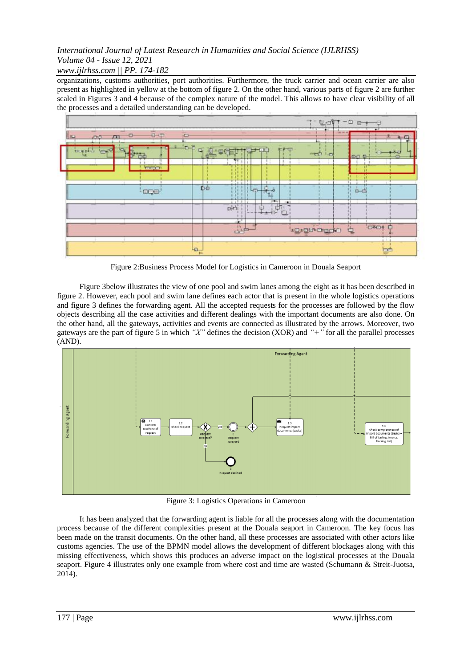*www.ijlrhss.com || PP. 174-182*

organizations, customs authorities, port authorities. Furthermore, the truck carrier and ocean carrier are also present as highlighted in yellow at the bottom of figure 2. On the other hand, various parts of figure 2 are further scaled in Figures 3 and 4 because of the complex nature of the model. This allows to have clear visibility of all the processes and a detailed understanding can be developed.



Figure 2:Business Process Model for Logistics in Cameroon in Douala Seaport

Figure 3below illustrates the view of one pool and swim lanes among the eight as it has been described in figure 2. However, each pool and swim lane defines each actor that is present in the whole logistics operations and figure 3 defines the forwarding agent. All the accepted requests for the processes are followed by the flow objects describing all the case activities and different dealings with the important documents are also done. On the other hand, all the gateways, activities and events are connected as illustrated by the arrows. Moreover, two gateways are the part of figure 5 in which *"X"* defines the decision (XOR) and *"+"* for all the parallel processes (AND).



Figure 3: Logistics Operations in Cameroon

It has been analyzed that the forwarding agent is liable for all the processes along with the documentation process because of the different complexities present at the Douala seaport in Cameroon. The key focus has been made on the transit documents. On the other hand, all these processes are associated with other actors like customs agencies. The use of the BPMN model allows the development of different blockages along with this missing effectiveness, which shows this produces an adverse impact on the logistical processes at the Douala seaport. Figure 4 illustrates only one example from where cost and time are wasted (Schumann & Streit-Juotsa, 2014).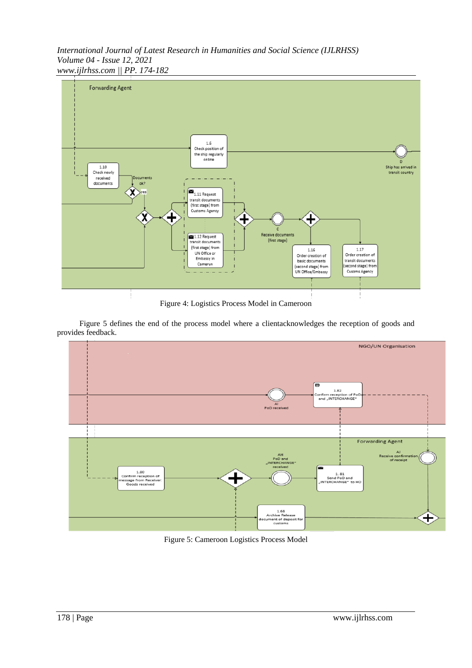*International Journal of Latest Research in Humanities and Social Science (IJLRHSS) Volume 04 - Issue 12, 2021 www.ijlrhss.com || PP. 174-182*



Figure 4: Logistics Process Model in Cameroon

Figure 5 defines the end of the process model where a clientacknowledges the reception of goods and provides feedback.



Figure 5: Cameroon Logistics Process Model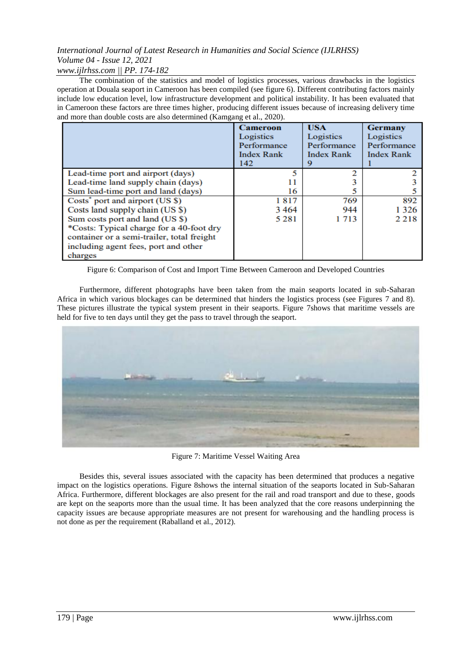*www.ijlrhss.com || PP. 174-182*

The combination of the statistics and model of logistics processes, various drawbacks in the logistics operation at Douala seaport in Cameroon has been compiled (see figure 6). Different contributing factors mainly include low education level, low infrastructure development and political instability. It has been evaluated that in Cameroon these factors are three times higher, producing different issues because of increasing delivery time and more than double costs are also determined (Kamgang et al., 2020).

|                                             | <b>Cameroon</b><br>Logistics<br>Performance<br><b>Index Rank</b><br>142 | <b>USA</b><br>Logistics<br>Performance<br><b>Index Rank</b> | <b>Germany</b><br>Logistics<br>Performance<br><b>Index Rank</b> |
|---------------------------------------------|-------------------------------------------------------------------------|-------------------------------------------------------------|-----------------------------------------------------------------|
| Lead-time port and airport (days)           | ς                                                                       |                                                             |                                                                 |
| Lead-time land supply chain (days)          |                                                                         |                                                             |                                                                 |
| Sum lead-time port and land (days)          | 16                                                                      |                                                             |                                                                 |
| Costs <sup>*</sup> port and airport (US \$) | 1817                                                                    | 769                                                         | 892                                                             |
| Costs land supply chain (US \$)             | 3464                                                                    | 944                                                         | 1 3 2 6                                                         |
| Sum costs port and land (US \$)             | 5 2 8 1                                                                 | 1 7 1 3                                                     | 2 2 1 8                                                         |
| *Costs: Typical charge for a 40-foot dry    |                                                                         |                                                             |                                                                 |
| container or a semi-trailer, total freight  |                                                                         |                                                             |                                                                 |
| including agent fees, port and other        |                                                                         |                                                             |                                                                 |
| charges                                     |                                                                         |                                                             |                                                                 |

Figure 6: Comparison of Cost and Import Time Between Cameroon and Developed Countries

Furthermore, different photographs have been taken from the main seaports located in sub-Saharan Africa in which various blockages can be determined that hinders the logistics process (see Figures 7 and 8). These pictures illustrate the typical system present in their seaports. Figure 7shows that maritime vessels are held for five to ten days until they get the pass to travel through the seaport.



Figure 7: Maritime Vessel Waiting Area

Besides this, several issues associated with the capacity has been determined that produces a negative impact on the logistics operations. Figure 8shows the internal situation of the seaports located in Sub-Saharan Africa. Furthermore, different blockages are also present for the rail and road transport and due to these, goods are kept on the seaports more than the usual time. It has been analyzed that the core reasons underpinning the capacity issues are because appropriate measures are not present for warehousing and the handling process is not done as per the requirement (Raballand et al., 2012).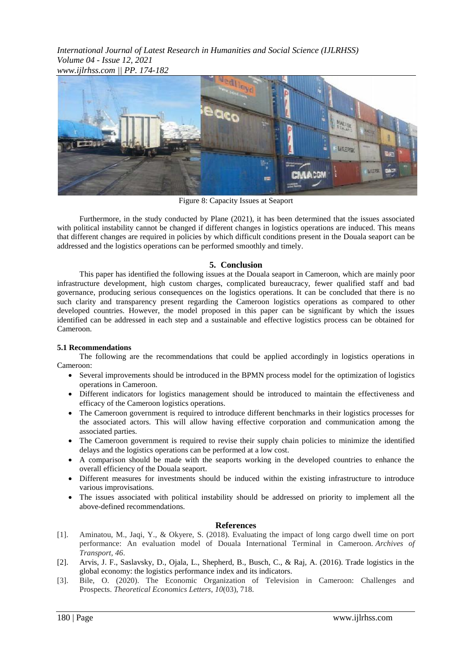*International Journal of Latest Research in Humanities and Social Science (IJLRHSS) Volume 04 - Issue 12, 2021 www.ijlrhss.com || PP. 174-182*



Figure 8: Capacity Issues at Seaport

Furthermore, in the study conducted by Plane (2021), it has been determined that the issues associated with political instability cannot be changed if different changes in logistics operations are induced. This means that different changes are required in policies by which difficult conditions present in the Douala seaport can be addressed and the logistics operations can be performed smoothly and timely.

## **5. Conclusion**

This paper has identified the following issues at the Douala seaport in Cameroon, which are mainly poor infrastructure development, high custom charges, complicated bureaucracy, fewer qualified staff and bad governance, producing serious consequences on the logistics operations. It can be concluded that there is no such clarity and transparency present regarding the Cameroon logistics operations as compared to other developed countries. However, the model proposed in this paper can be significant by which the issues identified can be addressed in each step and a sustainable and effective logistics process can be obtained for Cameroon.

## **5.1 Recommendations**

The following are the recommendations that could be applied accordingly in logistics operations in Cameroon:

- Several improvements should be introduced in the BPMN process model for the optimization of logistics operations in Cameroon.
- Different indicators for logistics management should be introduced to maintain the effectiveness and efficacy of the Cameroon logistics operations.
- The Cameroon government is required to introduce different benchmarks in their logistics processes for the associated actors. This will allow having effective corporation and communication among the associated parties.
- The Cameroon government is required to revise their supply chain policies to minimize the identified delays and the logistics operations can be performed at a low cost.
- A comparison should be made with the seaports working in the developed countries to enhance the overall efficiency of the Douala seaport.
- Different measures for investments should be induced within the existing infrastructure to introduce various improvisations.
- The issues associated with political instability should be addressed on priority to implement all the above-defined recommendations.

## **References**

- [1]. Aminatou, M., Jaqi, Y., & Okyere, S. (2018). Evaluating the impact of long cargo dwell time on port performance: An evaluation model of Douala International Terminal in Cameroon. *Archives of Transport*, *46*.
- [2]. Arvis, J. F., Saslavsky, D., Ojala, L., Shepherd, B., Busch, C., & Raj, A. (2016). Trade logistics in the global economy: the logistics performance index and its indicators.
- [3]. Bile, O. (2020). The Economic Organization of Television in Cameroon: Challenges and Prospects. *Theoretical Economics Letters*, *10*(03), 718.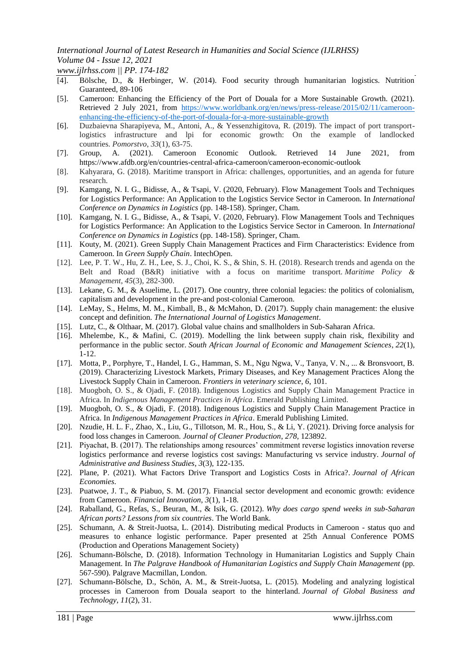*www.ijlrhss.com || PP. 174-182*

- [4]. Bölsche, D., & Herbinger, W. (2014). Food security through humanitarian logistics. Nutrition Guaranteed, 89-106
- [5]. Cameroon: Enhancing the Efficiency of the Port of Douala for a More Sustainable Growth. (2021). Retrieved 2 July 2021, from [https://www.worldbank.org/en/news/press-release/2015/02/11/cameroon](https://www.worldbank.org/en/news/press-release/2015/02/11/cameroon-enhancing-the-efficiency-of-the-port-of-douala-for-a-more-sustainable-growth)[enhancing-the-efficiency-of-the-port-of-douala-for-a-more-sustainable-growth](https://www.worldbank.org/en/news/press-release/2015/02/11/cameroon-enhancing-the-efficiency-of-the-port-of-douala-for-a-more-sustainable-growth)
- [6]. Duzbaievna Sharapiyeva, M., Antoni, A., & Yessenzhigitova, R. (2019). The impact of port transportlogistics infrastructure and lpi for economic growth: On the example of landlocked countries. *Pomorstvo*, *33*(1), 63-75.
- [7]. Group, A. (2021). Cameroon Economic Outlook. Retrieved 14 June 2021, from https://www.afdb.org/en/countries-central-africa-cameroon/cameroon-economic-outlook
- [8]. Kahyarara, G. (2018). Maritime transport in Africa: challenges, opportunities, and an agenda for future research.
- [9]. Kamgang, N. I. G., Bidisse, A., & Tsapi, V. (2020, February). Flow Management Tools and Techniques for Logistics Performance: An Application to the Logistics Service Sector in Cameroon. In *International Conference on Dynamics in Logistics* (pp. 148-158). Springer, Cham.
- [10]. Kamgang, N. I. G., Bidisse, A., & Tsapi, V. (2020, February). Flow Management Tools and Techniques for Logistics Performance: An Application to the Logistics Service Sector in Cameroon. In *International Conference on Dynamics in Logistics* (pp. 148-158). Springer, Cham.
- [11]. Kouty, M. (2021). Green Supply Chain Management Practices and Firm Characteristics: Evidence from Cameroon. In *Green Supply Chain*. IntechOpen.
- [12]. Lee, P. T. W., Hu, Z. H., Lee, S. J., Choi, K. S., & Shin, S. H. (2018). Research trends and agenda on the Belt and Road (B&R) initiative with a focus on maritime transport. *Maritime Policy & Management*, *45*(3), 282-300.
- [13]. Lekane, G. M., & Asuelime, L. (2017). One country, three colonial legacies: the politics of colonialism, capitalism and development in the pre-and post-colonial Cameroon.
- [14]. LeMay, S., Helms, M. M., Kimball, B., & McMahon, D. (2017). Supply chain management: the elusive concept and definition. *The International Journal of Logistics Management*.
- [15]. Lutz, C., & Olthaar, M. (2017). Global value chains and smallholders in Sub-Saharan Africa.
- [16]. Mhelembe, K., & Mafini, C. (2019). Modelling the link between supply chain risk, flexibility and performance in the public sector. *South African Journal of Economic and Management Sciences*, *22*(1), 1-12.
- [17]. Motta, P., Porphyre, T., Handel, I. G., Hamman, S. M., Ngu Ngwa, V., Tanya, V. N., ... & Bronsvoort, B. (2019). Characterizing Livestock Markets, Primary Diseases, and Key Management Practices Along the Livestock Supply Chain in Cameroon. *Frontiers in veterinary science*, *6*, 101.
- [18]. Muogboh, O. S., & Ojadi, F. (2018). Indigenous Logistics and Supply Chain Management Practice in Africa. In *Indigenous Management Practices in Africa*. Emerald Publishing Limited.
- [19]. Muogboh, O. S., & Ojadi, F. (2018). Indigenous Logistics and Supply Chain Management Practice in Africa. In *Indigenous Management Practices in Africa*. Emerald Publishing Limited.
- [20]. Nzudie, H. L. F., Zhao, X., Liu, G., Tillotson, M. R., Hou, S., & Li, Y. (2021). Driving force analysis for food loss changes in Cameroon. *Journal of Cleaner Production*, *278*, 123892.
- [21]. Piyachat, B. (2017). The relationships among resources' commitment reverse logistics innovation reverse logistics performance and reverse logistics cost savings: Manufacturing vs service industry. *Journal of Administrative and Business Studies*, *3*(3), 122-135.
- [22]. Plane, P. (2021). What Factors Drive Transport and Logistics Costs in Africa?. *Journal of African Economies*.
- [23]. Puatwoe, J. T., & Piabuo, S. M. (2017). Financial sector development and economic growth: evidence from Cameroon. *Financial Innovation*, *3*(1), 1-18.
- [24]. Raballand, G., Refas, S., Beuran, M., & Isik, G. (2012). *Why does cargo spend weeks in sub-Saharan African ports? Lessons from six countries*. The World Bank.
- [25]. Schumann, A. & Streit-Juotsa, L. (2014). Distributing medical Products in Cameroon status quo and measures to enhance logistic performance. Paper presented at 25th Annual Conference POMS (Production and Operations Management Society)
- [26]. Schumann-Bölsche, D. (2018). Information Technology in Humanitarian Logistics and Supply Chain Management. In *The Palgrave Handbook of Humanitarian Logistics and Supply Chain Management* (pp. 567-590). Palgrave Macmillan, London.
- [27]. Schumann-Bölsche, D., Schön, A. M., & Streit-Juotsa, L. (2015). Modeling and analyzing logistical processes in Cameroon from Douala seaport to the hinterland. *Journal of Global Business and Technology*, *11*(2), 31.